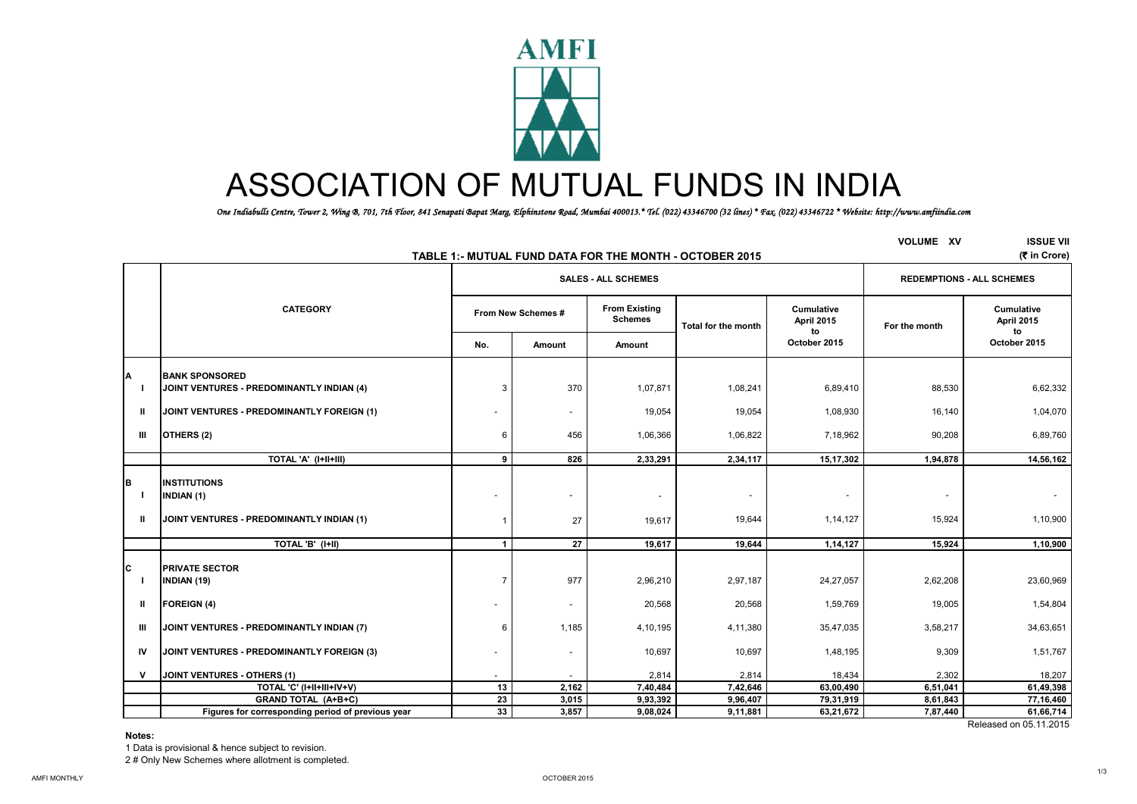

# ASSOCIATION OF MUTUAL FUNDS IN INDIA

 *One Indiabulls Centre, Tower 2, Wing B, 701, 7th Floor, 841 Senapati Bapat Marg, Elphinstone Road, Mumbai 400013.\* Tel. (022) 43346700 (32 lines) \* Fax. (022) 43346722 \* Website: http://www.amfiindia.com*

|                          | TABLE 1:- MUTUAL FUND DATA FOR THE MONTH - OCTOBER 2015                               | <b>VOLUME XV</b>   | <b>ISSUE VII</b><br>(そ in Crore) |                                        |                                    |                                       |               |                                       |
|--------------------------|---------------------------------------------------------------------------------------|--------------------|----------------------------------|----------------------------------------|------------------------------------|---------------------------------------|---------------|---------------------------------------|
|                          |                                                                                       |                    | <b>SALES - ALL SCHEMES</b>       | <b>REDEMPTIONS - ALL SCHEMES</b>       |                                    |                                       |               |                                       |
|                          | <b>CATEGORY</b>                                                                       | From New Schemes # |                                  | <b>From Existing</b><br><b>Schemes</b> | <b>Total for the month</b>         | <b>Cumulative</b><br>April 2015<br>to | For the month | <b>Cumulative</b><br>April 2015<br>to |
|                          |                                                                                       | No.                | Amount                           | Amount                                 |                                    | October 2015                          |               | October 2015                          |
| A                        | <b>IBANK SPONSORED</b><br>JOINT VENTURES - PREDOMINANTLY INDIAN (4)                   | 3                  | 370                              | 1,07,871                               | 1,08,241                           | 6,89,410                              | 88,530        | 6,62,332                              |
| Ш                        | JOINT VENTURES - PREDOMINANTLY FOREIGN (1)                                            |                    | $\sim$                           | 19,054                                 | 19,054                             | 1,08,930                              | 16,140        | 1,04,070                              |
| Ш                        | OTHERS (2)                                                                            | 6                  | 456                              | 1,06,366                               | 1,06,822                           | 7,18,962                              | 90,208        | 6,89,760                              |
|                          | TOTAL 'A' (I+II+III)                                                                  | 9                  | 826                              | 2,33,291                               | 2,34,117                           | 15,17,302                             | 1,94,878      | 14,56,162                             |
| В<br>$\blacksquare$<br>Ш | <b>INSTITUTIONS</b><br><b>INDIAN (1)</b><br>JOINT VENTURES - PREDOMINANTLY INDIAN (1) |                    | 27                               | $\sim$<br>19,617                       | $\overline{\phantom{a}}$<br>19,644 | $\overline{\phantom{a}}$<br>1,14,127  | 15,924        | $\overline{\phantom{a}}$<br>1,10,900  |
|                          | TOTAL 'B' (I+II)                                                                      | $\mathbf 1$        | 27                               | 19,617                                 | 19,644                             | 1,14,127                              | 15,924        | 1,10,900                              |
| C<br>-1                  | <b>PRIVATE SECTOR</b><br><b>INDIAN (19)</b>                                           |                    | 977                              | 2,96,210                               | 2,97,187                           | 24,27,057                             | 2,62,208      | 23,60,969                             |
| $\mathbf{u}$             | <b>FOREIGN (4)</b>                                                                    |                    | $\sim$                           | 20,568                                 | 20,568                             | 1,59,769                              | 19,005        | 1,54,804                              |
| Ш                        | JOINT VENTURES - PREDOMINANTLY INDIAN (7)                                             | 6                  | 1,185                            | 4,10,195                               | 4,11,380                           | 35,47,035                             | 3,58,217      | 34,63,651                             |
| IV                       | JOINT VENTURES - PREDOMINANTLY FOREIGN (3)                                            |                    | ٠                                | 10,697                                 | 10,697                             | 1,48,195                              | 9,309         | 1,51,767                              |
| $\mathsf{v}$             | JOINT VENTURES - OTHERS (1)                                                           |                    |                                  | 2,814                                  | 2,814                              | 18,434                                | 2,302         | 18,207                                |
|                          | TOTAL 'C' (I+II+III+IV+V)                                                             | 13                 | 2,162                            | 7,40,484                               | 7,42,646                           | 63,00,490                             | 6,51,041      | 61,49,398                             |
|                          | <b>GRAND TOTAL (A+B+C)</b>                                                            | 23                 | 3,015                            | 9,93,392                               | 9,96,407                           | 79,31,919                             | 8,61,843      | 77,16,460                             |
|                          | Figures for corresponding period of previous year                                     | 33                 | 3,857                            | 9,08,024                               | 9,11,881                           | 63,21,672                             | 7,87,440      | 61,66,714                             |
|                          |                                                                                       |                    |                                  |                                        |                                    |                                       |               | Released on 05.11.2015                |

**Notes:**

1 Data is provisional & hence subject to revision.

2 # Only New Schemes where allotment is completed.

1/3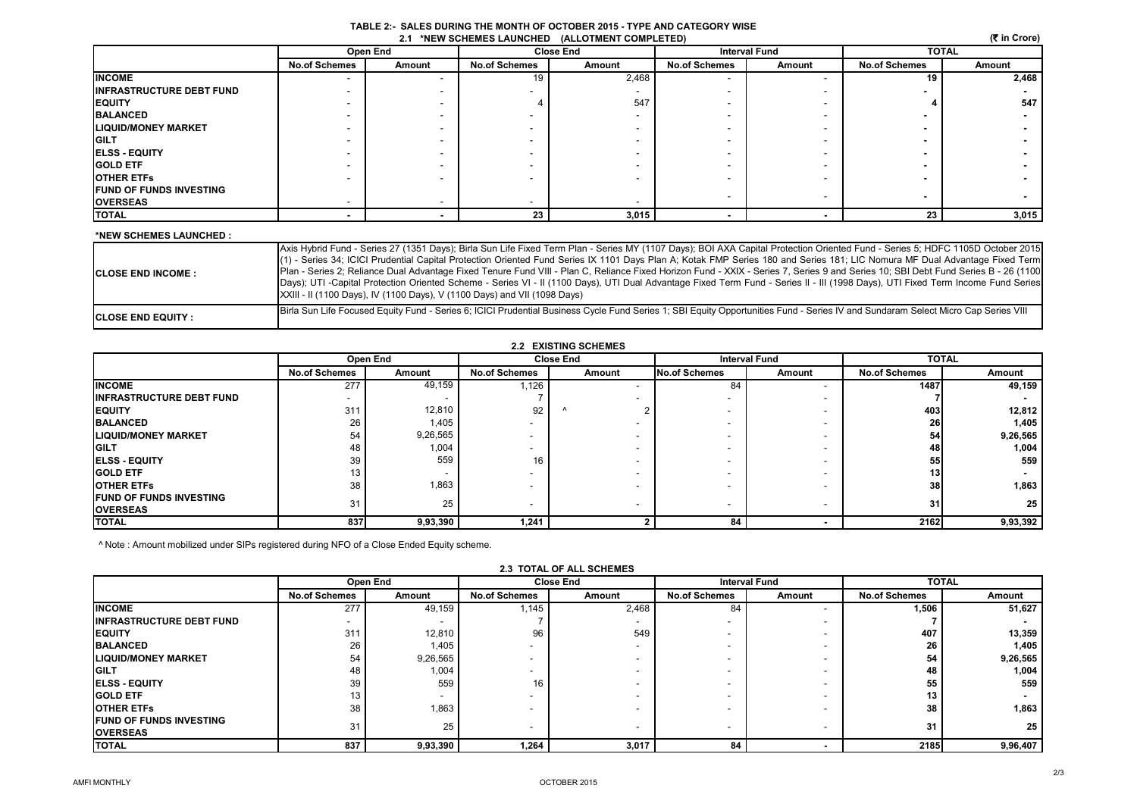#### **TABLE 2:- SALES DURING THE MONTH OF OCTOBER 2015 - TYPE AND CATEGORY WISE 2.1 \*NEW SCHEMES LAUNCHED (ALLOTMENT COMPLETED)**

|                                 |                      |          |                      | 2.1 *NEW SCHEMES LAUNCHED (ALLOTMENT COMPLETED) |                      |        |                      | (₹ in Crore) |
|---------------------------------|----------------------|----------|----------------------|-------------------------------------------------|----------------------|--------|----------------------|--------------|
|                                 |                      | Open End | <b>Close End</b>     |                                                 | <b>Interval Fund</b> |        | <b>TOTAL</b>         |              |
|                                 | <b>No.of Schemes</b> | Amount   | <b>No.of Schemes</b> | Amount                                          | <b>No.of Schemes</b> | Amount | <b>No.of Schemes</b> | Amount       |
| <b>INCOME</b>                   |                      |          | 19                   | 2,468                                           |                      |        | 19                   | 2,468        |
| <b>INFRASTRUCTURE DEBT FUND</b> |                      |          |                      |                                                 |                      |        |                      |              |
| <b>EQUITY</b>                   |                      |          |                      | 547                                             |                      |        |                      | 547          |
| <b>BALANCED</b>                 |                      |          |                      |                                                 |                      |        |                      |              |
| <b>LIQUID/MONEY MARKET</b>      |                      |          |                      |                                                 |                      |        |                      |              |
| <b>GILT</b>                     |                      |          |                      |                                                 |                      |        |                      |              |
| <b>ELSS - EQUITY</b>            |                      |          | -                    |                                                 |                      |        |                      |              |
| <b>GOLD ETF</b>                 |                      |          |                      |                                                 |                      |        |                      |              |
| <b>OTHER ETFS</b>               |                      |          |                      |                                                 |                      |        |                      |              |
| <b>FUND OF FUNDS INVESTING</b>  |                      |          |                      |                                                 |                      |        |                      |              |
| <b>OVERSEAS</b>                 |                      |          | -                    | . .                                             |                      |        |                      |              |
| <b>TOTAL</b>                    |                      |          | 23                   | 3,015                                           |                      |        | 23                   | 3,015        |

#### **\*NEW SCHEMES LAUNCHED :**

| <b>ICLOSE END INCOME :</b> | Axis Hybrid Fund - Series 27 (1351 Days); Birla Sun Life Fixed Term Plan - Series MY (1107 Days); BOI AXA Capital Protection Oriented Fund - Series 5; HDFC 1105D October 2015<br>(1) - Series 34; ICICI Prudential Capital Protection Oriented Fund Series IX 1101 Days Plan A; Kotak FMP Series 180 and Series 181; LIC Nomura MF Dual Advantage Fixed Term<br>Plan - Series 2; Reliance Dual Advantage Fixed Tenure Fund VIII - Plan C, Reliance Fixed Horizon Fund - XXIX - Series 7, Series 9 and Series 10; SBI Debt Fund Series B - 26 (1100)<br>Days); UTI -Capital Protection Oriented Scheme - Series VI - II (1100 Days), UTI Dual Advantage Fixed Term Fund - Series II - III (1998 Days), UTI Fixed Term Income Fund Series<br>XXIII - II (1100 Days), IV (1100 Days), V (1100 Days) and VII (1098 Days) |
|----------------------------|-----------------------------------------------------------------------------------------------------------------------------------------------------------------------------------------------------------------------------------------------------------------------------------------------------------------------------------------------------------------------------------------------------------------------------------------------------------------------------------------------------------------------------------------------------------------------------------------------------------------------------------------------------------------------------------------------------------------------------------------------------------------------------------------------------------------------|
| <b>ICLOSE END EQUITY :</b> | Birla Sun Life Focused Equity Fund - Series 6; ICICI Prudential Business Cycle Fund Series 1; SBI Equity Opportunities Fund - Series IV and Sundaram Select Micro Cap Series VIII                                                                                                                                                                                                                                                                                                                                                                                                                                                                                                                                                                                                                                     |

| <b>2.2 EXISTING SCHEMES</b>      |                      |          |                          |        |                          |                      |                      |              |  |
|----------------------------------|----------------------|----------|--------------------------|--------|--------------------------|----------------------|----------------------|--------------|--|
|                                  |                      | Open End | <b>Close End</b>         |        |                          | <b>Interval Fund</b> |                      | <b>TOTAL</b> |  |
|                                  | <b>No.of Schemes</b> | Amount   | <b>No.of Schemes</b>     | Amount | No.of Schemes            | Amount               | <b>No.of Schemes</b> | Amount       |  |
| <b>INCOME</b>                    | 277                  | 49,159   | 1,126                    |        | 84                       |                      | 1487                 | 49,159       |  |
| <b>IINFRASTRUCTURE DEBT FUND</b> |                      |          |                          |        | $\sim$                   |                      |                      |              |  |
| <b>EQUITY</b>                    | 311                  | 12,810   | 92                       |        |                          |                      | 403                  | 12,812       |  |
| <b>BALANCED</b>                  | 26                   | 1,405    | $\sim$                   |        | $\overline{\phantom{a}}$ | $\sim$               | <b>26</b>            | 1,405        |  |
| <b>LIQUID/MONEY MARKET</b>       | 54                   | 9,26,565 | $\overline{\phantom{a}}$ |        |                          |                      | 54                   | 9,26,565     |  |
| <b>GILT</b>                      | 48                   | 1,004    | $\overline{\phantom{a}}$ |        | $\overline{\phantom{a}}$ | . .                  | 48                   | 1,004        |  |
| <b>IELSS - EQUITY</b>            | 39                   | 559      | 16                       |        | $\overline{\phantom{a}}$ |                      | 55                   | 559          |  |
| <b>GOLD ETF</b>                  | 13                   |          | $\overline{\phantom{a}}$ |        |                          |                      | 13                   |              |  |
| <b>OTHER ETFS</b>                | 38                   | 1,863    |                          |        | $\overline{\phantom{a}}$ |                      | 38 <sup>l</sup>      | 1,863        |  |
| <b>IFUND OF FUNDS INVESTING</b>  | 31                   | 25       |                          |        | $\sim$                   | $\sim$               | 31                   | 25           |  |
| <b>OVERSEAS</b>                  |                      |          | $\overline{\phantom{a}}$ |        |                          |                      |                      |              |  |
| <b>TOTAL</b>                     | 837                  | 9,93,390 | 1,241                    |        | 84                       |                      | 2162                 | 9,93,392     |  |

^ Note : Amount mobilized under SIPs registered during NFO of a Close Ended Equity scheme.

|                                                    | Open End                 |          | <b>Close End</b>     |        | <b>Interval Fund</b>     |                          | <b>TOTAL</b>         |          |
|----------------------------------------------------|--------------------------|----------|----------------------|--------|--------------------------|--------------------------|----------------------|----------|
|                                                    | <b>No.of Schemes</b>     | Amount   | <b>No.of Schemes</b> | Amount | <b>No.of Schemes</b>     | Amount                   | <b>No.of Schemes</b> | Amount   |
| <b>INCOME</b>                                      | 277                      | 49,159   | 1,145                | 2,468  | 84                       |                          | 1,506                | 51,627   |
| <b>INFRASTRUCTURE DEBT FUND</b>                    | $\overline{\phantom{a}}$ |          |                      | -      | ۰                        |                          |                      |          |
| <b>IEQUITY</b>                                     | 311                      | 12,810   | 96                   | 549    |                          |                          | 407                  | 13,359   |
| <b>BALANCED</b>                                    | 26                       | 1,405    |                      | -      |                          |                          | 26                   | 1,405    |
| <b>ILIQUID/MONEY MARKET</b>                        | 54                       | 9,26,565 |                      |        |                          | $\overline{\phantom{a}}$ | 54                   | 9,26,565 |
| <b>IGILT</b>                                       | 48                       | 1,004    |                      |        | -                        | -                        | 48                   | 1,004    |
| <b>ELSS - EQUITY</b>                               | 39                       | 559      | 16                   |        | -                        | -                        | 55                   | 559      |
| <b>GOLD ETF</b>                                    | 13                       |          |                      |        | -                        | -                        | 13                   |          |
| <b>OTHER ETFS</b>                                  | 38                       | 1,863    |                      |        | -                        |                          | 38                   | 1,863    |
| <b>IFUND OF FUNDS INVESTING</b><br><b>OVERSEAS</b> | 31                       | 25       |                      |        | $\overline{\phantom{a}}$ |                          | 31                   | 25       |
| <b>TOTAL</b>                                       | 837                      | 9,93,390 | 1,264                | 3,017  | 84                       |                          | 2185                 | 9,96,407 |

#### **2.3 TOTAL OF ALL SCHEMES**